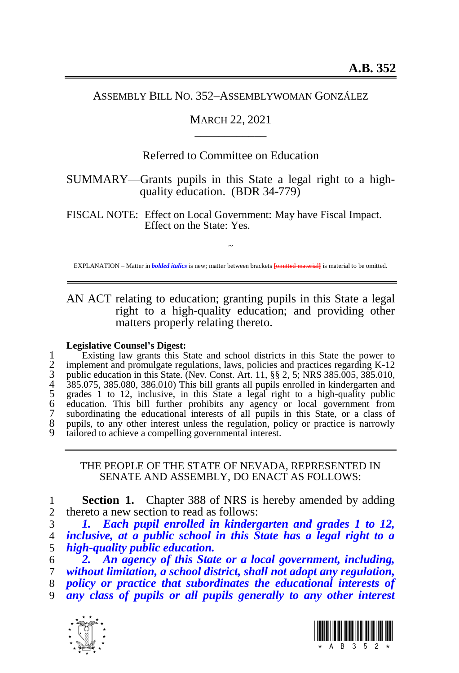#### ASSEMBLY BILL NO. 352–ASSEMBLYWOMAN GONZÁLEZ

### MARCH 22, 2021 \_\_\_\_\_\_\_\_\_\_\_\_

# Referred to Committee on Education

# SUMMARY—Grants pupils in this State a legal right to a highquality education. (BDR 34-779)

FISCAL NOTE: Effect on Local Government: May have Fiscal Impact. Effect on the State: Yes.

~ EXPLANATION – Matter in *bolded italics* is new; matter between brackets **[**omitted material**]** is material to be omitted.

AN ACT relating to education; granting pupils in this State a legal right to a high-quality education; and providing other matters properly relating thereto.

#### **Legislative Counsel's Digest:**

1 Existing law grants this State and school districts in this State the power to<br>2 implement and promulgate regulations, laws, policies and practices regarding K-12<br>3 public education in this State. (Nev. Const. Art. 11, § implement and promulgate regulations, laws, policies and practices regarding K-12 public education in this State. (Nev. Const. Art. 11, §§ 2, 5; NRS 385.005, 385.010, 385.075, 385.080, 386.010) This bill grants all pupils enrolled in kindergarten and 5 grades 1 to 12, inclusive, in this State a legal right to a high-quality public 6 education. This bill further prohibits any agency or local government from 7 subordinating the educational interests of all pupils in this State, or a class of 8 pupils, to any other interest unless the regulation, policy or practice is narrowly tailored to achieve a compelling governmental interest.

THE PEOPLE OF THE STATE OF NEVADA, REPRESENTED IN SENATE AND ASSEMBLY, DO ENACT AS FOLLOWS:

1 **Section 1.** Chapter 388 of NRS is hereby amended by adding 2 thereto a new section to read as follows:

3 *1. Each pupil enrolled in kindergarten and grades 1 to 12,*  4 *inclusive, at a public school in this State has a legal right to a*  5 *high-quality public education.*

6 *2. An agency of this State or a local government, including,*  7 *without limitation, a school district, shall not adopt any regulation,*  8 *policy or practice that subordinates the educational interests of* 

9 *any class of pupils or all pupils generally to any other interest*